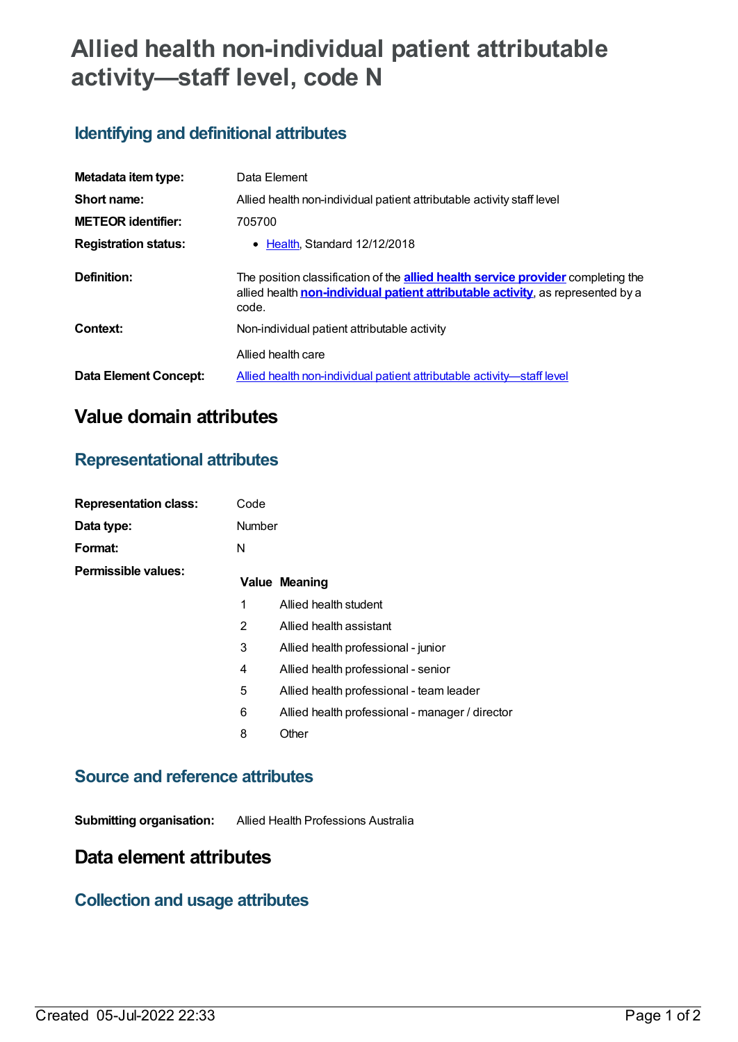# **Allied health non-individual patient attributable activity—staff level, code N**

# **Identifying and definitional attributes**

| Metadata item type:         | Data Element                                                                                                                                                                        |  |
|-----------------------------|-------------------------------------------------------------------------------------------------------------------------------------------------------------------------------------|--|
| Short name:                 | Allied health non-individual patient attributable activity staff level                                                                                                              |  |
| <b>METEOR identifier:</b>   | 705700                                                                                                                                                                              |  |
| <b>Registration status:</b> | • Health Standard 12/12/2018                                                                                                                                                        |  |
| Definition:                 | The position classification of the <b>allied health service provider</b> completing the<br>allied health non-individual patient attributable activity, as represented by a<br>code. |  |
| Context:                    | Non-individual patient attributable activity                                                                                                                                        |  |
|                             | Allied health care                                                                                                                                                                  |  |
| Data Element Concept:       | Allied health non-individual patient attributable activity—staff level                                                                                                              |  |

# **Value domain attributes**

### **Representational attributes**

| <b>Representation class:</b> | Code   |                                                 |
|------------------------------|--------|-------------------------------------------------|
| Data type:                   | Number |                                                 |
| Format:                      | N      |                                                 |
| Permissible values:          |        | <b>Value Meaning</b>                            |
|                              | 1      | Allied health student                           |
|                              | 2      | Allied health assistant                         |
|                              | 3      | Allied health professional - junior             |
|                              | 4      | Allied health professional - senior             |
|                              | 5      | Allied health professional - team leader        |
|                              | 6      | Allied health professional - manager / director |
|                              | 8      | Other                                           |
|                              |        |                                                 |

#### **Source and reference attributes**

**Submitting organisation:** Allied Health Professions Australia

## **Data element attributes**

#### **Collection and usage attributes**